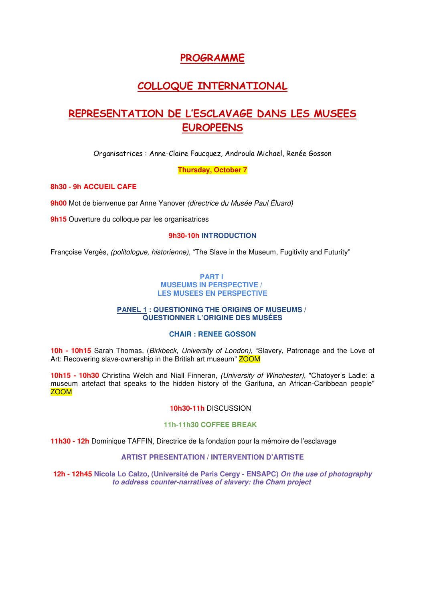## **PROGRAMME**

# **COLLOQUE INTERNATIONAL**

# **REPRESENTATION DE L'ESCLAVAGE DANS LES MUSEES EUROPEENS**

Organisatrices : Anne-Claire Faucquez, Androula Michael, Renée Gosson

**Thursday, October 7**

## **8h30 - 9h ACCUEIL CAFE**

**9h00** Mot de bienvenue par Anne Yanover (directrice du Musée Paul Éluard)

**9h15** Ouverture du colloque par les organisatrices

## **9h30-10h INTRODUCTION**

Françoise Vergès, (politologue, historienne), "The Slave in the Museum, Fugitivity and Futurity"

#### **PART I MUSEUMS IN PERSPECTIVE / LES MUSEES EN PERSPECTIVE**

## **PANEL 1 : QUESTIONING THE ORIGINS OF MUSEUMS / QUESTIONNER L'ORIGINE DES MUSÉES**

## **CHAIR : RENEE GOSSON**

**10h - 10h15** Sarah Thomas, (Birkbeck, University of London), "Slavery, Patronage and the Love of Art: Recovering slave-ownership in the British art museum" **ZOOM** 

**10h15 - 10h30** Christina Welch and Niall Finneran, (University of Winchester), "Chatoyer's Ladle: a museum artefact that speaks to the hidden history of the Garifuna, an African-Caribbean people" ZOOM

## **10h30-11h** DISCUSSION

#### **11h-11h30 COFFEE BREAK**

**11h30 - 12h** Dominique TAFFIN, Directrice de la fondation pour la mémoire de l'esclavage

## **ARTIST PRESENTATION / INTERVENTION D'ARTISTE**

**12h - 12h45 Nicola Lo Calzo, (Université de Paris Cergy - ENSAPC) On the use of photography to address counter-narratives of slavery: the Cham project**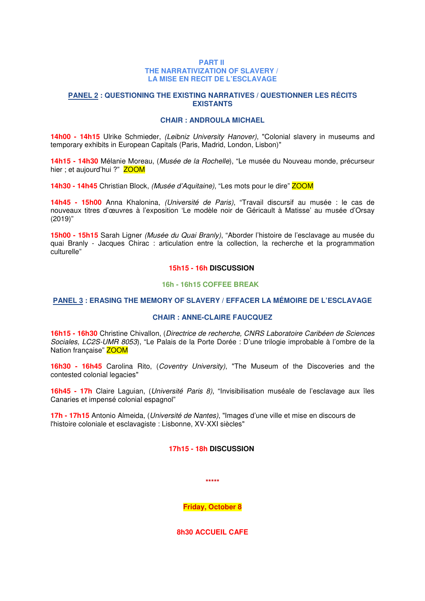#### **PART II THE NARRATIVIZATION OF SLAVERY / LA MISE EN RECIT DE L'ESCLAVAGE**

### **PANEL 2 : QUESTIONING THE EXISTING NARRATIVES / QUESTIONNER LES RÉCITS EXISTANTS**

#### **CHAIR : ANDROULA MICHAEL**

**14h00 - 14h15** Ulrike Schmieder, (Leibniz University Hanover), "Colonial slavery in museums and temporary exhibits in European Capitals (Paris, Madrid, London, Lisbon)"

**14h15 - 14h30** Mélanie Moreau, (Musée de la Rochelle), "Le musée du Nouveau monde, précurseur hier ; et aujourd'hui ?" **ZOOM** 

**14h30 - 14h45** Christian Block, *(Musée d'Aquitaine)*, "Les mots pour le dire" ZOOM

**14h45 - 15h00** Anna Khalonina, (Université de Paris), "Travail discursif au musée : le cas de nouveaux titres d'œuvres à l'exposition 'Le modèle noir de Géricault à Matisse' au musée d'Orsay (2019)"

**15h00 - 15h15** Sarah Ligner (Musée du Quai Branly), "Aborder l'histoire de l'esclavage au musée du quai Branly - Jacques Chirac : articulation entre la collection, la recherche et la programmation culturelle"

## **15h15 - 16h DISCUSSION**

#### **16h - 16h15 COFFEE BREAK**

## **PANEL 3 : ERASING THE MEMORY OF SLAVERY / EFFACER LA MÉMOIRE DE L'ESCLAVAGE**

## **CHAIR : ANNE-CLAIRE FAUCQUEZ**

**16h15 - 16h30** Christine Chivallon, (Directrice de recherche, CNRS Laboratoire Caribéen de Sciences Sociales, LC2S-UMR 8053), "Le Palais de la Porte Dorée : D'une trilogie improbable à l'ombre de la Nation française" **ZOOM** 

**16h30 - 16h45** Carolina Rito, (Coventry University), "The Museum of the Discoveries and the contested colonial legacies"

**16h45 - 17h** Claire Laguian, (Université Paris 8), "Invisibilisation muséale de l'esclavage aux îles Canaries et impensé colonial espagnol"

**17h - 17h15** Antonio Almeida, (Université de Nantes), "Images d'une ville et mise en discours de l'histoire coloniale et esclavagiste : Lisbonne, XV-XXI siècles"

## **17h15 - 18h DISCUSSION**

**\*\*\*\*\***

**Friday, October 8**

**8h30 ACCUEIL CAFE**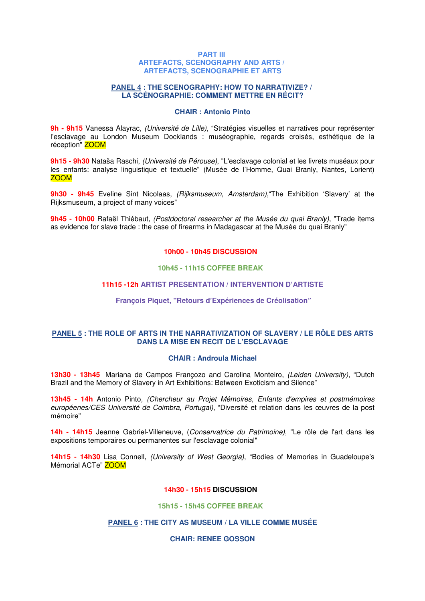#### **PART III ARTEFACTS, SCENOGRAPHY AND ARTS / ARTEFACTS, SCENOGRAPHIE ET ARTS**

#### **PANEL 4 : THE SCENOGRAPHY: HOW TO NARRATIVIZE? / LA SCÉNOGRAPHIE: COMMENT METTRE EN RÉCIT?**

#### **CHAIR : Antonio Pinto**

**9h - 9h15** Vanessa Alayrac, (Université de Lille), "Stratégies visuelles et narratives pour représenter l'esclavage au London Museum Docklands : muséographie, regards croisés, esthétique de la réception" ZOOM

**9h15 - 9h30** Nataša Raschi, (Université de Pérouse), "L'esclavage colonial et les livrets muséaux pour les enfants: analyse linguistique et textuelle" (Musée de l'Homme, Quai Branly, Nantes, Lorient) ZOOM

**9h30 - 9h45** Eveline Sint Nicolaas, *(Rijksmuseum, Amsterdam)*, The Exhibition 'Slavery' at the Rijksmuseum, a project of many voices"

**9h45 - 10h00** Rafaël Thiébaut, (Postdoctoral researcher at the Musée du quai Branly), "Trade items as evidence for slave trade : the case of firearms in Madagascar at the Musée du quai Branly"

## **10h00 - 10h45 DISCUSSION**

#### **10h45 - 11h15 COFFEE BREAK**

#### **11h15 -12h ARTIST PRESENTATION / INTERVENTION D'ARTISTE**

#### **François Piquet, "Retours d'Expériences de Créolisation"**

### **PANEL 5 : THE ROLE OF ARTS IN THE NARRATIVIZATION OF SLAVERY / LE RÔLE DES ARTS DANS LA MISE EN RECIT DE L'ESCLAVAGE**

#### **CHAIR : Androula Michael**

**13h30 - 13h45** Mariana de Campos Françozo and Carolina Monteiro, (Leiden University), "Dutch Brazil and the Memory of Slavery in Art Exhibitions: Between Exoticism and Silence"

**13h45 - 14h** Antonio Pinto, (Chercheur au Projet Mémoires, Enfants d'empires et postmémoires européenes/CES Université de Coimbra, Portugal), "Diversité et relation dans les œuvres de la post mémoire"

**14h - 14h15** Jeanne Gabriel-Villeneuve, (Conservatrice du Patrimoine), "Le rôle de l'art dans les expositions temporaires ou permanentes sur l'esclavage colonial"

**14h15 - 14h30** Lisa Connell, (University of West Georgia), "Bodies of Memories in Guadeloupe's Mémorial ACTe" ZOOM

#### **14h30 - 15h15 DISCUSSION**

#### **15h15 - 15h45 COFFEE BREAK**

## **PANEL 6 : THE CITY AS MUSEUM / LA VILLE COMME MUSÉE**

#### **CHAIR: RENEE GOSSON**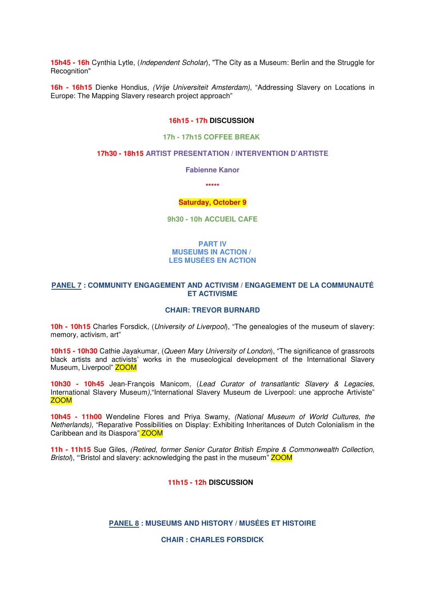**15h45 - 16h** Cynthia Lytle, (Independent Scholar), "The City as a Museum: Berlin and the Struggle for Recognition"

**16h - 16h15** Dienke Hondius, (Vrije Universiteit Amsterdam), "Addressing Slavery on Locations in Europe: The Mapping Slavery research project approach"

#### **16h15 - 17h DISCUSSION**

## **17h - 17h15 COFFEE BREAK**

#### **17h30 - 18h15 ARTIST PRESENTATION / INTERVENTION D'ARTISTE**

**Fabienne Kanor**

**\*\*\*\*\***

#### **Saturday, October 9**

**9h30 - 10h ACCUEIL CAFE**

#### **PART IV MUSEUMS IN ACTION / LES MUSÉES EN ACTION**

#### **PANEL 7 : COMMUNITY ENGAGEMENT AND ACTIVISM / ENGAGEMENT DE LA COMMUNAUTÉ ET ACTIVISME**

## **CHAIR: TREVOR BURNARD**

**10h - 10h15** Charles Forsdick, (University of Liverpool), "The genealogies of the museum of slavery: memory, activism, art"

**10h15 - 10h30** Cathie Jayakumar, (Queen Mary University of London), "The significance of grassroots black artists and activists' works in the museological development of the International Slavery Museum, Liverpool" ZOOM

**10h30 - 10h45** Jean-François Manicom, (Lead Curator of transatlantic Slavery & Legacies, International Slavery Museum), "International Slavery Museum de Liverpool: une approche Artiviste" ZOOM

**10h45 - 11h00** Wendeline Flores and Priya Swamy, (National Museum of World Cultures, the Netherlands), "Reparative Possibilities on Display: Exhibiting Inheritances of Dutch Colonialism in the Caribbean and its Diaspora" ZOOM

**11h - 11h15** Sue Giles, (Retired, former Senior Curator British Empire & Commonwealth Collection, Bristol), "Bristol and slavery: acknowledging the past in the museum" **ZOOM** 

#### **11h15 - 12h DISCUSSION**

## **PANEL 8 : MUSEUMS AND HISTORY / MUSÉES ET HISTOIRE**

**CHAIR : CHARLES FORSDICK**